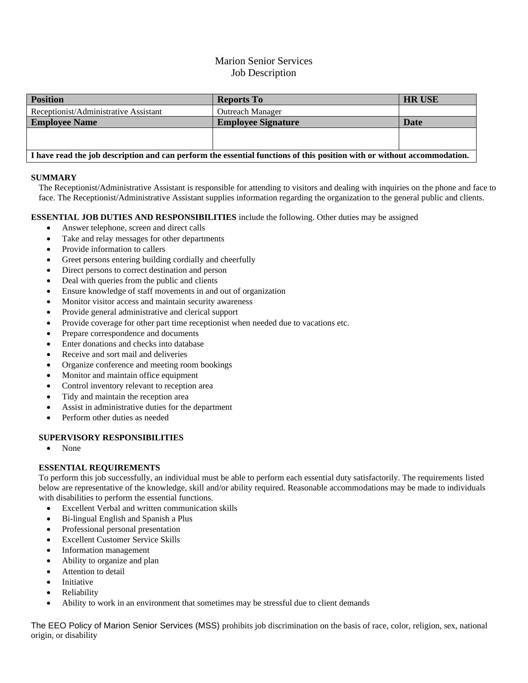# Marion Senior Services Job Description

| <b>Position</b>                                                                                                         | <b>Reports To</b>         | <b>HR USE</b> |
|-------------------------------------------------------------------------------------------------------------------------|---------------------------|---------------|
| Receptionist/Administrative Assistant                                                                                   | <b>Outreach Manager</b>   |               |
| <b>Employee Name</b>                                                                                                    | <b>Employee Signature</b> | Date          |
|                                                                                                                         |                           |               |
|                                                                                                                         |                           |               |
| I have read the job description and can perform the essential functions of this position with or without accommodation. |                           |               |

# **SUMMARY**

The Receptionist/Administrative Assistant is responsible for attending to visitors and dealing with inquiries on the phone and face to face. The Receptionist/Administrative Assistant supplies information regarding the organization to the general public and clients.

# **ESSENTIAL JOB DUTIES AND RESPONSIBILITIES** include the following. Other duties may be assigned

- Answer telephone, screen and direct calls
- Take and relay messages for other departments
- Provide information to callers
- Greet persons entering building cordially and cheerfully
- Direct persons to correct destination and person
- Deal with queries from the public and clients
- Ensure knowledge of staff movements in and out of organization
- Monitor visitor access and maintain security awareness
- Provide general administrative and clerical support
- Provide coverage for other part time receptionist when needed due to vacations etc.
- Prepare correspondence and documents
- Enter donations and checks into database
- Receive and sort mail and deliveries
- Organize conference and meeting room bookings
- Monitor and maintain office equipment
- Control inventory relevant to reception area
- Tidy and maintain the reception area
- Assist in administrative duties for the department
- Perform other duties as needed

#### **SUPERVISORY RESPONSIBILITIES**

• None

# **ESSENTIAL REQUIREMENTS**

To perform this job successfully, an individual must be able to perform each essential duty satisfactorily. The requirements listed below are representative of the knowledge, skill and/or ability required. Reasonable accommodations may be made to individuals with disabilities to perform the essential functions.

- Excellent Verbal and written communication skills
- Bi-lingual English and Spanish a Plus
- Professional personal presentation
- Excellent Customer Service Skills
- Information management
- Ability to organize and plan
- Attention to detail
- **Initiative**
- **Reliability**
- Ability to work in an environment that sometimes may be stressful due to client demands

The EEO Policy of Marion Senior Services (MSS) prohibits job discrimination on the basis of race, color, religion, sex, national origin, or disability